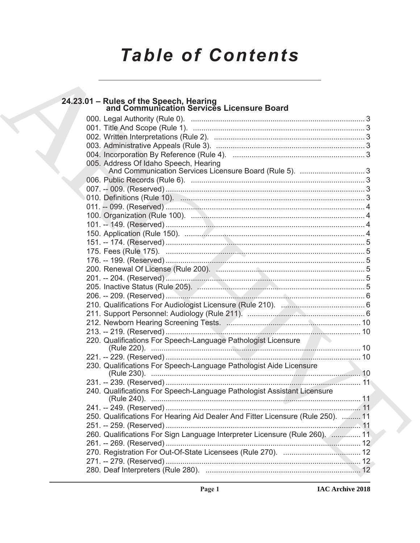# **Table of Contents**

| 24.23.01 - Rules of the Speech, Hearing<br>and Communication Services Licensure Board |  |
|---------------------------------------------------------------------------------------|--|
|                                                                                       |  |
|                                                                                       |  |
|                                                                                       |  |
|                                                                                       |  |
|                                                                                       |  |
| 005. Address Of Idaho Speech, Hearing                                                 |  |
| And Communication Services Licensure Board (Rule 5). 3                                |  |
|                                                                                       |  |
|                                                                                       |  |
|                                                                                       |  |
|                                                                                       |  |
|                                                                                       |  |
|                                                                                       |  |
|                                                                                       |  |
|                                                                                       |  |
|                                                                                       |  |
|                                                                                       |  |
|                                                                                       |  |
|                                                                                       |  |
|                                                                                       |  |
|                                                                                       |  |
|                                                                                       |  |
|                                                                                       |  |
|                                                                                       |  |
|                                                                                       |  |
| 220. Qualifications For Speech-Language Pathologist Licensure                         |  |
|                                                                                       |  |
| 230. Qualifications For Speech-Language Pathologist Aide Licensure                    |  |
|                                                                                       |  |
| 240. Qualifications For Speech-Language Pathologist Assistant Licensure               |  |
|                                                                                       |  |
| 250. Qualifications For Hearing Aid Dealer And Fitter Licensure (Rule 250).  11       |  |
|                                                                                       |  |
| 260. Qualifications For Sign Language Interpreter Licensure (Rule 260). 2 11          |  |
|                                                                                       |  |
|                                                                                       |  |
|                                                                                       |  |
|                                                                                       |  |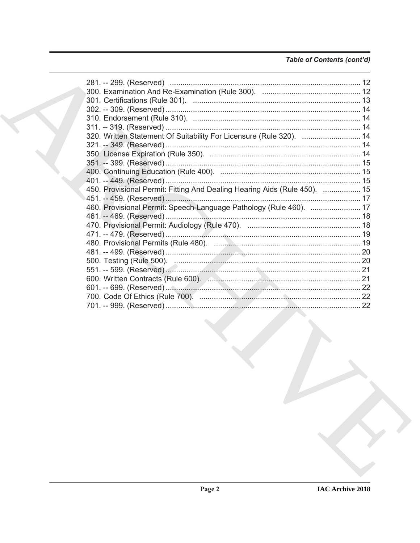# Table of Contents (cont'd)

| 320. Written Statement Of Suitability For Licensure (Rule 320).  14       |  |
|---------------------------------------------------------------------------|--|
|                                                                           |  |
|                                                                           |  |
|                                                                           |  |
|                                                                           |  |
|                                                                           |  |
| 450. Provisional Permit: Fitting And Dealing Hearing Aids (Rule 450).  15 |  |
|                                                                           |  |
| 460. Provisional Permit: Speech-Language Pathology (Rule 460).  17        |  |
|                                                                           |  |
|                                                                           |  |
|                                                                           |  |
|                                                                           |  |
|                                                                           |  |
|                                                                           |  |
|                                                                           |  |
| 600. Written Contracts (Rule 600). 20. 20. 20. 20. 20. 21                 |  |
|                                                                           |  |
|                                                                           |  |
|                                                                           |  |
|                                                                           |  |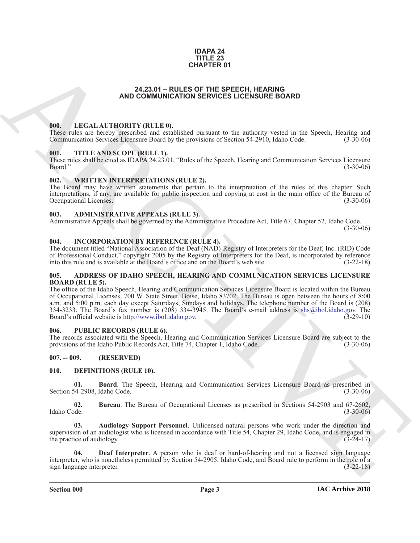#### **IDAPA 24 TITLE 23 CHAPTER 01**

#### **24.23.01 – RULES OF THE SPEECH, HEARING AND COMMUNICATION SERVICES LICENSURE BOARD**

#### <span id="page-2-18"></span><span id="page-2-1"></span><span id="page-2-0"></span>**000. LEGAL AUTHORITY (RULE 0).**

These rules are hereby prescribed and established pursuant to the authority vested in the Speech, Hearing and Communication Services Licensure Board by the provisions of Section 54-2910, Idaho Code. (3-30-06)

#### <span id="page-2-20"></span><span id="page-2-2"></span>**001. TITLE AND SCOPE (RULE 1).**

These rules shall be cited as IDAPA 24.23.01, "Rules of the Speech, Hearing and Communication Services Licensure Board." (3-30-06)

#### <span id="page-2-21"></span><span id="page-2-3"></span>**002. WRITTEN INTERPRETATIONS (RULE 2).**

The Board may have written statements that pertain to the interpretation of the rules of this chapter. Such interpretations, if any, are available for public inspection and copying at cost in the main office of the Bureau of Occupational Licenses. (3-30-06)

### <span id="page-2-11"></span><span id="page-2-4"></span>**003. ADMINISTRATIVE APPEALS (RULE 3).**

Administrative Appeals shall be governed by the Administrative Procedure Act, Title 67, Chapter 52, Idaho Code.

 $(3-30-06)$ 

#### <span id="page-2-17"></span><span id="page-2-5"></span>**004. INCORPORATION BY REFERENCE (RULE 4).**

The document titled "National Association of the Deaf (NAD)-Registry of Interpreters for the Deaf, Inc. (RID) Code of Professional Conduct," copyright 2005 by the Registry of Interpreters for the Deaf, is incorporated by reference into this rule and is available at the Board's office and on the Board's web site. (3-22-18)

#### <span id="page-2-10"></span><span id="page-2-6"></span>**005. ADDRESS OF IDAHO SPEECH, HEARING AND COMMUNICATION SERVICES LICENSURE BOARD (RULE 5).**

**EXAMPLER OF**<br> **ARC[H](http://www.ibol.idaho.gov)[I](mailto:shs@ibol.idaho.gov)VES COMMUNICATION SERVICES LUCENSIVES EXAMPLE<br>
THE SECRET INTERFERIENCE IS CONSULTED AND COMMUNICATION SERVICES LUCENSIVES EXAMPLE<br>
THE SECRET INTERFERIENCE IS CONSULTED AND CONSULTED AND CONSULTED CO** The office of the Idaho Speech, Hearing and Communication Services Licensure Board is located within the Bureau of Occupational Licenses, 700 W. State Street, Boise, Idaho 83702. The Bureau is open between the hours of 8:00 a.m. and 5:00 p.m. each day except Saturdays, Sundays and holidays. The telephone number of the Board is (208) 334-3233. The Board's fax number is (208) 334-3945. The Board's e-mail address is shs@ibol.idaho.gov. The Board's official website is http://www.ibol.idaho.gov. (3-29-10)

### <span id="page-2-19"></span><span id="page-2-7"></span>**006. PUBLIC RECORDS (RULE 6).**

The records associated with the Speech, Hearing and Communication Services Licensure Board are subject to the provisions of the Idaho Public Records Act. Title 74, Chapter 1, Idaho Code. (3-30-06) provisions of the Idaho Public Records Act, Title 74, Chapter 1, Idaho Code.

### <span id="page-2-8"></span>**007. -- 009. (RESERVED)**

#### <span id="page-2-12"></span><span id="page-2-9"></span>**010. DEFINITIONS (RULE 10).**

<span id="page-2-14"></span>**01. Board**. The Speech, Hearing and Communication Services Licensure Board as prescribed in Section 54-2908, Idaho Code.

<span id="page-2-15"></span>**02.** Bureau. The Bureau of Occupational Licenses as prescribed in Sections 54-2903 and 67-2602, Idaho Code. (3-30-06) Idaho Code. (3-30-06)

<span id="page-2-13"></span>**03. Audiology Support Personnel**. Unlicensed natural persons who work under the direction and supervision of an audiologist who is licensed in accordance with Title 54, Chapter 29, Idaho Code, and is engaged in the practice of audiology.  $(3-24-17)$ 

<span id="page-2-16"></span>**04. Deaf Interpreter**. A person who is deaf or hard-of-hearing and not a licensed sign language interpreter, who is nonetheless permitted by Section 54-2905, Idaho Code, and Board rule to perform in the role of a sign language interpreter. (3-22-18)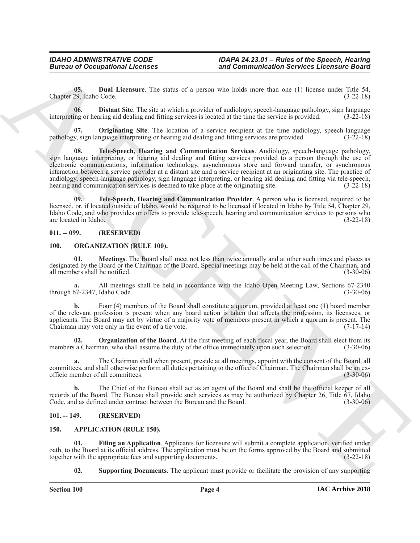<span id="page-3-8"></span>**05. Dual Licensure**. The status of a person who holds more than one (1) license under Title 54, Chapter 29, Idaho Code. (3-22-18)

<span id="page-3-7"></span>**06. Distant Site**. The site at which a provider of audiology, speech-language pathology, sign language interpreting or hearing aid dealing and fitting services is located at the time the service is provided. (3-22-18)

<span id="page-3-11"></span><span id="page-3-9"></span>**Originating Site**. The location of a service recipient at the time audiology, speech-language pathology, sign language interpreting or hearing aid dealing and fitting services are provided. (3-22-18)

**Eurosis of Occupations I**. Leonards<br> **Eurosis of Eurosis controlled and the state of a process can be held noted to the control of the state of the state<br>
Clause 36, the North State of the state of a process can be held 08. Tele-Speech, Hearing and Communication Services**. Audiology, speech-language pathology, sign language interpreting, or hearing aid dealing and fitting services provided to a person through the use of electronic communications, information technology, asynchronous store and forward transfer, or synchronous interaction between a service provider at a distant site and a service recipient at an originating site. The practice of audiology, speech-language pathology, sign language interpreting, or hearing aid dealing and fitting via tele-speech, hearing and communication services is deemed to take place at the originating site.  $(3-22-18)$ 

<span id="page-3-10"></span>**09. Tele-Speech, Hearing and Communication Provider**. A person who is licensed, required to be licensed, or, if located outside of Idaho, would be required to be licensed if located in Idaho by Title 54, Chapter 29, Idaho Code, and who provides or offers to provide tele-speech, hearing and communication services to persons who are located in Idaho. (3-22-18)

#### <span id="page-3-0"></span>**011. -- 099. (RESERVED)**

#### <span id="page-3-13"></span><span id="page-3-12"></span><span id="page-3-1"></span>**100. ORGANIZATION (RULE 100).**

**01. Meetings**. The Board shall meet not less than twice annually and at other such times and places as designated by the Board or the Chairman of the Board. Special meetings may be held at the call of the Chairman, and all members shall be notified. (3-30-06)

**a.** All meetings shall be held in accordance with the Idaho Open Meeting Law, Sections 67-2340 through 67-2347, Idaho Code.

**b.** Four (4) members of the Board shall constitute a quorum, provided at least one (1) board member of the relevant profession is present when any board action is taken that affects the profession, its licensees, or applicants. The Board may act by virtue of a majority vote of members present in which a quorum is present. The Chairman may vote only in the event of a tie vote. (7-17-14)

<span id="page-3-14"></span>**02. Organization of the Board**. At the first meeting of each fiscal year, the Board shall elect from its members a Chairman, who shall assume the duty of the office immediately upon such selection. (3-30-06)

**a.** The Chairman shall when present, preside at all meetings, appoint with the consent of the Board, all committees, and shall otherwise perform all duties pertaining to the office of Chairman. The Chairman shall be an exofficio member of all committees. (3-30-06)

**b.** The Chief of the Bureau shall act as an agent of the Board and shall be the official keeper of all records of the Board. The Bureau shall provide such services as may be authorized by Chapter 26, Title 67, Idaho Code, and as defined under contract between the Bureau and the Board. (3-30-06)

#### <span id="page-3-2"></span>**101. -- 149. (RESERVED)**

#### <span id="page-3-4"></span><span id="page-3-3"></span>**150. APPLICATION (RULE 150).**

**01. Filing an Application**. Applicants for licensure will submit a complete application, verified under oath, to the Board at its official address. The application must be on the forms approved by the Board and submitted together with the appropriate fees and supporting documents.

<span id="page-3-6"></span><span id="page-3-5"></span>**02. Supporting Documents**. The applicant must provide or facilitate the provision of any supporting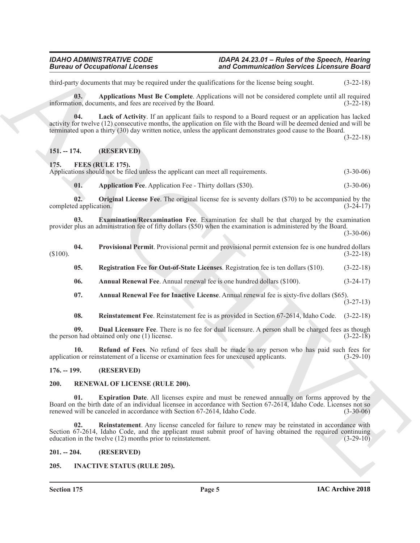third-party documents that may be required under the qualifications for the license being sought. (3-22-18)

<span id="page-4-6"></span>**03. Applications Must Be Complete**. Applications will not be considered complete until all required information, documents, and fees are received by the Board. (3-22-18)

<span id="page-4-7"></span>**04. Lack of Activity**. If an applicant fails to respond to a Board request or an application has lacked activity for twelve (12) consecutive months, the application on file with the Board will be deemed denied and will be terminated upon a thirty (30) day written notice, unless the applicant demonstrates good cause to the Board.

(3-22-18)

#### <span id="page-4-0"></span>**151. -- 174. (RESERVED)**

<span id="page-4-8"></span><span id="page-4-1"></span>**175. FEES (RULE 175).**

|  |  |  | Applications should not be filed unless the applicant can meet all requirements. |  | $(3-30-06)$ |
|--|--|--|----------------------------------------------------------------------------------|--|-------------|
|--|--|--|----------------------------------------------------------------------------------|--|-------------|

<span id="page-4-14"></span><span id="page-4-13"></span><span id="page-4-11"></span>**01. Application Fee**. Application Fee - Thirty dollars (\$30). (3-30-06)

**02. Original License Fee**. The original license fee is seventy dollars (\$70) to be accompanied by the completed application. (3-24-17)

**03. Examination/Reexamination Fee**. Examination fee shall be that charged by the examination provider plus an administration fee of fifty dollars (\$50) when the examination is administered by the Board.

 $(3-30-06)$ 

- <span id="page-4-17"></span><span id="page-4-15"></span><span id="page-4-9"></span>**04.** Provisional Permit. Provisional permit and provisional permit extension fee is one hundred dollars (3-22-18)  $(3-22-18)$ 
	- **05. Registration Fee for Out-of-State Licenses**. Registration fee is ten dollars (\$10). (3-22-18)
	- **06. Annual Renewal Fee**. Annual renewal fee is one hundred dollars (\$100). (3-24-17)
	- **07. Annual Renewal Fee for Inactive License**. Annual renewal fee is sixty-five dollars (\$65).
		- (3-27-13)
	- **08. Reinstatement Fee**. Reinstatement fee is as provided in Section 67-2614, Idaho Code. (3-22-18)

<span id="page-4-18"></span><span id="page-4-12"></span><span id="page-4-10"></span>**09. Dual Licensure Fee**. There is no fee for dual licensure. A person shall be charged fees as though the person had obtained only one (1) license. (3-22-18)

<span id="page-4-16"></span>**10. Refund of Fees**. No refund of fees shall be made to any person who has paid such fees for on or reinstatement of a license or examination fees for unexcused applicants. (3-29-10) application or reinstatement of a license or examination fees for unexcused applicants.

#### <span id="page-4-2"></span>**176. -- 199. (RESERVED)**

#### <span id="page-4-21"></span><span id="page-4-20"></span><span id="page-4-3"></span>**200. RENEWAL OF LICENSE (RULE 200).**

**Example 20** Comparison Internation and the system international devices Leonardo Barris (1972-18)<br>
Activity decomposition and the system of the latent based of the system of the system of the system of the system of the **01. Expiration Date**. All licenses expire and must be renewed annually on forms approved by the Board on the birth date of an individual licensee in accordance with Section 67-2614, Idaho Code. Licenses not so renewed will be canceled in accordance with Section 67-2614. Idaho Code. (3-30-06) renewed will be canceled in accordance with Section 67-2614, Idaho Code.

<span id="page-4-22"></span>**02. Reinstatement**. Any license canceled for failure to renew may be reinstated in accordance with Section 67-2614, Idaho Code, and the applicant must submit proof of having obtained the required continuing education in the twelve (12) months prior to reinstatement. (3-29-10) education in the twelve  $(12)$  months prior to reinstatement.

#### <span id="page-4-4"></span>**201. -- 204. (RESERVED)**

### <span id="page-4-19"></span><span id="page-4-5"></span>**205. INACTIVE STATUS (RULE 205).**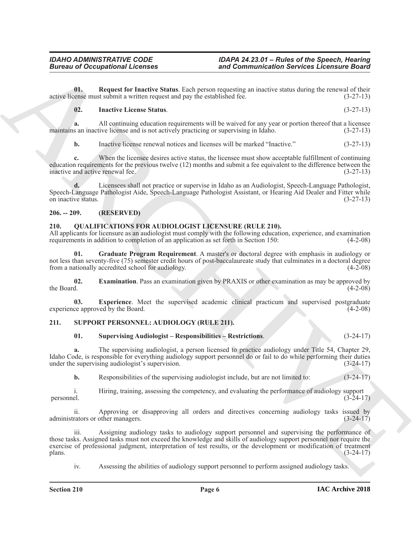**01. Request for Inactive Status**. Each person requesting an inactive status during the renewal of their active license must submit a written request and pay the established fee. (3-27-13)

#### <span id="page-5-4"></span><span id="page-5-3"></span>**02. Inactive License Status**. (3-27-13)

**a.** All continuing education requirements will be waived for any year or portion thereof that a licensee maintains an inactive license and is not actively practicing or supervising in Idaho. (3-27-13)

**b.** Inactive license renewal notices and licenses will be marked "Inactive." (3-27-13)

**c.** When the licensee desires active status, the licensee must show acceptable fulfillment of continuing education requirements for the previous twelve (12) months and submit a fee equivalent to the difference between the inactive and active renewal fee. (3-27-13)

**d.** Licensees shall not practice or supervise in Idaho as an Audiologist, Speech-Language Pathologist, Speech-Language Pathologist Aide, Speech-Language Pathologist Assistant, or Hearing Aid Dealer and Fitter while on inactive status. (3-27-13)

#### <span id="page-5-0"></span>**206. -- 209. (RESERVED)**

### <span id="page-5-5"></span><span id="page-5-1"></span>**210. QUALIFICATIONS FOR AUDIOLOGIST LICENSURE (RULE 210).**

All applicants for licensure as an audiologist must comply with the following education, experience, and examination requirements in addition to completion of an application as set forth in Section 150: (4-2-08)

<span id="page-5-8"></span>**01. Graduate Program Requirement**. A master's or doctoral degree with emphasis in audiology or not less than seventy-five (75) semester credit hours of post-baccalaureate study that culminates in a doctoral degree from a nationally accredited school for audiology. (4-2-08) from a nationally accredited school for audiology.

<span id="page-5-6"></span>**02. Examination**. Pass an examination given by PRAXIS or other examination as may be approved by the Board. (4-2-08) the Board.  $(4-2-08)$ 

<span id="page-5-7"></span>**03. Experience**. Meet the supervised academic clinical practicum and supervised postgraduate experience approved by the Board. (4-2-08)

#### <span id="page-5-2"></span>**211. SUPPORT PERSONNEL: AUDIOLOGY (RULE 211).**

### <span id="page-5-10"></span><span id="page-5-9"></span>**01. Supervising Audiologist – Responsibilities – Restrictions**. (3-24-17)

**a.** The supervising audiologist, a person licensed to practice audiology under Title 54, Chapter 29, Idaho Code, is responsible for everything audiology support personnel do or fail to do while performing their duties under the supervising audiologist's supervision. (3-24-17)

**b.** Responsibilities of the supervising audiologist include, but are not limited to: (3-24-17)

i. Hiring, training, assessing the competency, and evaluating the performance of audiology support (3-24-17) personnel.  $(3-24-17)$ 

ii. Approving or disapproving all orders and directives concerning audiology tasks issued by rators or other managers. (3-24-17) administrators or other managers.

**Eurosis of Occupations I.** Forming and Commutineation Services Leonards Saw Commutineation Services Leonards Saw<br>
Scale in European (Figure 1) and Commutineation Service Commutineation Service Commutineation Service Comm Assigning audiology tasks to audiology support personnel and supervising the performance of those tasks. Assigned tasks must not exceed the knowledge and skills of audiology support personnel nor require the exercise of professional judgment, interpretation of test results, or the development or modification of treatment plans. (3-24-17)  $\mu$  plans. (3-24-17)

iv. Assessing the abilities of audiology support personnel to perform assigned audiology tasks.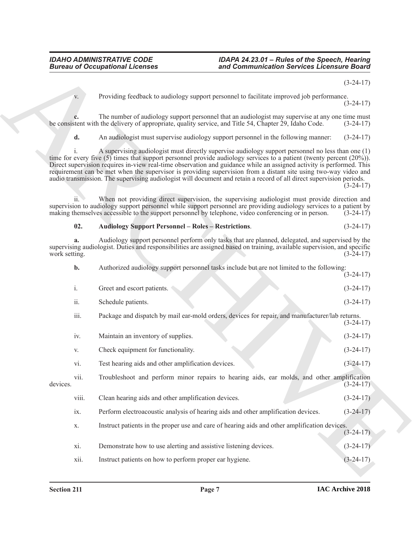(3-24-17)

Providing feedback to audiology support personnel to facilitate improved job performance. (3-24-17)

**c.** The number of audiology support personnel that an audiologist may supervise at any one time must stent with the delivery of appropriate, quality service, and Title 54, Chapter 29, Idaho Code.  $(3-24-17)$ be consistent with the delivery of appropriate, quality service, and Title 54, Chapter 29, Idaho Code.

**d.** An audiologist must supervise audiology support personnel in the following manner: (3-24-17)

i. A supervising audiologist must directly supervise audiology support personnel no less than one (1) time for every five (5) times that support personnel provide audiology services to a patient (twenty percent (20%)). Direct supervision requires in-view real-time observation and guidance while an assigned activity is performed. This requirement can be met when the supervisor is providing supervision from a distant site using two-way video and audio transmission. The supervising audiologist will document and retain a record of all direct supervision periods.

 $(3-24-17)$ 

ii. When not providing direct supervision, the supervising audiologist must provide direction and supervision to audiology support personnel while support personnel are providing audiology services to a patient by making themselves accessible to the support personnel by telephone, video conferencing or in person.  $(3-24-17)$ 

#### <span id="page-6-0"></span>**02. Audiology Support Personnel – Roles – Restrictions**. (3-24-17)

**a.** Audiology support personnel perform only tasks that are planned, delegated, and supervised by the supervising audiologist. Duties and responsibilities are assigned based on training, available supervision, and specific work setting. (3-24-17) work setting. (3-24-17)

**Example 20** Conceptions of Lebensitz and the property power and contributed for the vertical control of the same state of the same state of the same state of the same state of the same state of the same state of the same **b.** Authorized audiology support personnel tasks include but are not limited to the following:  $(3-24-17)$ i. Greet and escort patients. (3-24-17) ii. Schedule patients. (3-24-17) iii. Package and dispatch by mail ear-mold orders, devices for repair, and manufacturer/lab returns. (3-24-17) iv. Maintain an inventory of supplies. (3-24-17) v. Check equipment for functionality. (3-24-17) vi. Test hearing aids and other amplification devices. (3-24-17) vii. Troubleshoot and perform minor repairs to hearing aids, ear molds, and other amplification devices. (3-24-17) viii. Clean hearing aids and other amplification devices. (3-24-17) ix. Perform electroacoustic analysis of hearing aids and other amplification devices. (3-24-17) x. Instruct patients in the proper use and care of hearing aids and other amplification devices.  $(3-24-17)$ xi. Demonstrate how to use alerting and assistive listening devices. (3-24-17) xii. Instruct patients on how to perform proper ear hygiene. (3-24-17)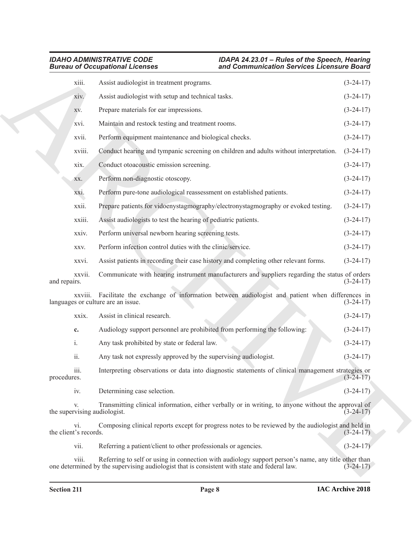|                                    | <b>Bureau of Occupational Licenses</b>                                                                                                   | and Communication Services Licensure Board |  |  |
|------------------------------------|------------------------------------------------------------------------------------------------------------------------------------------|--------------------------------------------|--|--|
| xiii.                              | Assist audiologist in treatment programs.                                                                                                | $(3-24-17)$                                |  |  |
| xiv.                               | Assist audiologist with setup and technical tasks.                                                                                       | $(3-24-17)$                                |  |  |
| XV.                                | Prepare materials for ear impressions.                                                                                                   | $(3-24-17)$                                |  |  |
| xvi.                               | Maintain and restock testing and treatment rooms.                                                                                        | $(3-24-17)$                                |  |  |
| xvii.                              | Perform equipment maintenance and biological checks.                                                                                     | $(3-24-17)$                                |  |  |
| xviii.                             | Conduct hearing and tympanic screening on children and adults without interpretation.                                                    | $(3-24-17)$                                |  |  |
| xix.                               | Conduct otoacoustic emission screening.                                                                                                  | $(3-24-17)$                                |  |  |
| XX.                                | Perform non-diagnostic otoscopy.                                                                                                         | $(3-24-17)$                                |  |  |
| XX1.                               | Perform pure-tone audiological reassessment on established patients.                                                                     | $(3-24-17)$                                |  |  |
| xxii.                              | Prepare patients for vidoenystagmography/electronystagmography or evoked testing.                                                        | $(3-24-17)$                                |  |  |
| xxiii.                             | Assist audiologists to test the hearing of pediatric patients.                                                                           | $(3-24-17)$                                |  |  |
| xxiv.                              | Perform universal newborn hearing screening tests.                                                                                       | $(3-24-17)$                                |  |  |
| XXV.                               | Perform infection control duties with the clinic/service.                                                                                | $(3-24-17)$                                |  |  |
| xxvi.                              | Assist patients in recording their case history and completing other relevant forms.                                                     | $(3-24-17)$                                |  |  |
| xxvii.<br>and repairs.             | Communicate with hearing instrument manufacturers and suppliers regarding the status of orders                                           | $(3-24-17)$                                |  |  |
|                                    | xxviii. Facilitate the exchange of information between audiologist and patient when differences in<br>languages or culture are an issue. | $(3-24-17)$                                |  |  |
| xxix.                              | Assist in clinical research.                                                                                                             | $(3-24-17)$                                |  |  |
| c.                                 | Audiology support personnel are prohibited from performing the following:                                                                | $(3-24-17)$                                |  |  |
| i.                                 | Any task prohibited by state or federal law.                                                                                             | $(3-24-17)$                                |  |  |
| ii.                                | Any task not expressly approved by the supervising audiologist.                                                                          | $(3-24-17)$                                |  |  |
| iii.<br>procedures.                | Interpreting observations or data into diagnostic statements of clinical management strategies or                                        | $(3-24-17)$                                |  |  |
| iv.                                | Determining case selection.                                                                                                              | $(3-24-17)$                                |  |  |
| V.<br>the supervising audiologist. | Transmitting clinical information, either verbally or in writing, to anyone without the approval of                                      | $(3-24-17)$                                |  |  |
| vi.<br>the client's records.       | Composing clinical reports except for progress notes to be reviewed by the audiologist and held in                                       | $(3-24-17)$                                |  |  |
| vii.                               | Referring a patient/client to other professionals or agencies.                                                                           | $(3-24-17)$                                |  |  |
| viii.                              | Referring to self or using in connection with audiology support person's name, any title other than                                      |                                            |  |  |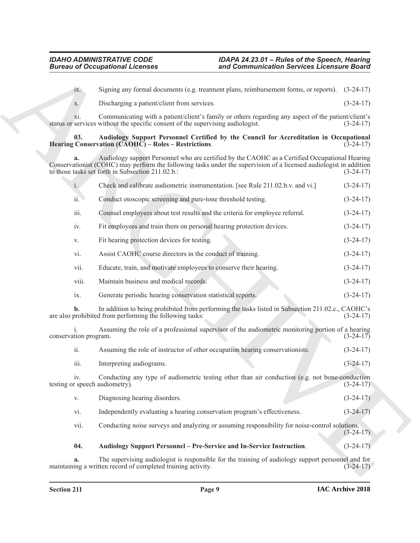#### <span id="page-8-1"></span><span id="page-8-0"></span>**03. Audiology Support Personnel Certified by the Council for Accreditation in Occupational Hearing Conservation (CAOHC) – Roles – Restrictions**. (3-24-17)

|                                       | <b>Bureau of Occupational Licenses</b>                                                                                                                                                                                                                                    | and Communication Services Licensure Board |             |  |
|---------------------------------------|---------------------------------------------------------------------------------------------------------------------------------------------------------------------------------------------------------------------------------------------------------------------------|--------------------------------------------|-------------|--|
| $\overline{1}X$ .                     | Signing any formal documents (e.g. treatment plans, reimbursement forms, or reports). (3-24-17)                                                                                                                                                                           |                                            |             |  |
| X.                                    | Discharging a patient/client from services.                                                                                                                                                                                                                               |                                            | $(3-24-17)$ |  |
| X1.                                   | Communicating with a patient/client's family or others regarding any aspect of the patient/client's<br>status or services without the specific consent of the supervising audiologist.                                                                                    |                                            | $(3-24-17)$ |  |
| 03.                                   | Audiology Support Personnel Certified by the Council for Accreditation in Occupational<br>Hearing Conservation (CAOHC) – Roles – Restrictions.                                                                                                                            |                                            | $(3-24-17)$ |  |
| a.                                    | Audiology support Personnel who are certified by the CAOHC as a Certified Occupational Hearing<br>Conservationist (COHC) may perform the following tasks under the supervision of a licensed audiologist in addition<br>to those tasks set forth in Subsection 211.02.b.: |                                            | $(3-24-17)$ |  |
| $\mathbf{i}$ .                        | Check and calibrate audiometric instrumentation. [see Rule 211.02.b.v. and vi.]                                                                                                                                                                                           |                                            | $(3-24-17)$ |  |
| ii.                                   | Conduct otoscopic screening and pure-tone threshold testing.                                                                                                                                                                                                              |                                            | $(3-24-17)$ |  |
| iii.                                  | Counsel employees about test results and the criteria for employee referral.                                                                                                                                                                                              |                                            | $(3-24-17)$ |  |
| iv.                                   | Fit employees and train them on personal hearing protection devices.                                                                                                                                                                                                      |                                            | $(3-24-17)$ |  |
| V.                                    | Fit hearing protection devices for testing.                                                                                                                                                                                                                               |                                            | $(3-24-17)$ |  |
| vi.                                   | Assist CAOHC course directors in the conduct of training.                                                                                                                                                                                                                 |                                            | $(3-24-17)$ |  |
| vii.                                  | Educate, train, and motivate employees to conserve their hearing.                                                                                                                                                                                                         |                                            | $(3-24-17)$ |  |
| viii.                                 | Maintain business and medical records.                                                                                                                                                                                                                                    |                                            | $(3-24-17)$ |  |
| ix.                                   | Generate periodic hearing conservation statistical reports.                                                                                                                                                                                                               |                                            | $(3-24-17)$ |  |
| b.                                    | In addition to being prohibited from performing the tasks listed in Subsection 211.02.c., CAOHC's<br>are also prohibited from performing the following tasks:                                                                                                             |                                            | $(3-24-17)$ |  |
| conservation program.                 | Assuming the role of a professional supervisor of the audiometric monitoring portion of a hearing                                                                                                                                                                         |                                            | $(3-24-17)$ |  |
| ii.                                   | Assuming the role of instructor of other occupation hearing conservationists.                                                                                                                                                                                             |                                            | $(3-24-17)$ |  |
| iii.                                  | Interpreting audiograms.                                                                                                                                                                                                                                                  |                                            | $(3-24-17)$ |  |
| iv.<br>testing or speech audiometry). | Conducting any type of audiometric testing other than air conduction (e.g. not bone-conduction                                                                                                                                                                            |                                            | $(3-24-17)$ |  |
| V.                                    | Diagnosing hearing disorders.                                                                                                                                                                                                                                             |                                            | $(3-24-17)$ |  |
| vi.                                   | Independently evaluating a hearing conservation program's effectiveness.                                                                                                                                                                                                  |                                            | $(3-24-17)$ |  |
| vii.                                  | Conducting noise surveys and analyzing or assuming responsibility for noise-control solutions.                                                                                                                                                                            |                                            | $(3-24-17)$ |  |
| 04.                                   | Audiology Support Personnel - Pre-Service and In-Service Instruction.                                                                                                                                                                                                     |                                            | $(3-24-17)$ |  |
| a.                                    | The supervising audiologist is responsible for the training of audiology support personnel and for<br>maintaining a written record of completed training activity.                                                                                                        |                                            | $(3-24-17)$ |  |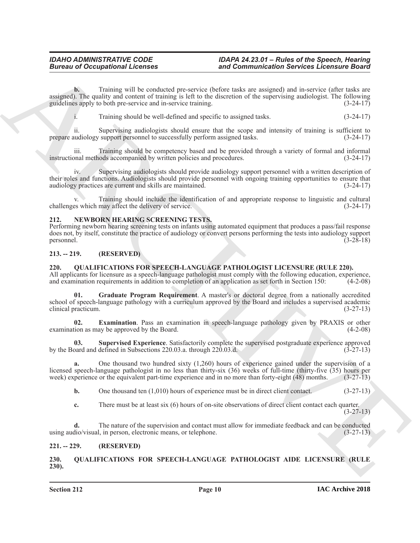**Bureau of Occupations I.** then use and Commutineation Services Licensine Barris 2003<br>
Single of the california and becomes the the the since that we are significant the california of the since the since of the since the **b.** Training will be conducted pre-service (before tasks are assigned) and in-service (after tasks are assigned). The quality and content of training is left to the discretion of the supervising audiologist. The following guidelines apply to both pre-service and in-service training. (3-24-17) guidelines apply to both pre-service and in-service training.

i. Training should be well-defined and specific to assigned tasks. (3-24-17)

ii. Supervising audiologists should ensure that the scope and intensity of training is sufficient to prepare audiology support personnel to successfully perform assigned tasks. (3-24-17)

iii. Training should be competency based and be provided through a variety of formal and informal instructional methods accompanied by written policies and procedures. (3-24-17)

Supervising audiologists should provide audiology support personnel with a written description of their roles and functions. Audiologists should provide personnel with ongoing training opportunities to ensure that audiology practices are current and skills are maintained. (3-24-17) audiology practices are current and skills are maintained.

Training should include the identification of and appropriate response to linguistic and cultural challenges which may affect the delivery of service. (3-24-17)

#### <span id="page-9-5"></span><span id="page-9-0"></span>**212. NEWBORN HEARING SCREENING TESTS.**

Performing newborn hearing screening tests on infants using automated equipment that produces a pass/fail response does not, by itself, constitute the practice of audiology or convert persons performing the tests into audiology support personnel. (3-28-18)

#### <span id="page-9-1"></span>**213. -- 219. (RESERVED)**

### <span id="page-9-7"></span><span id="page-9-2"></span>**220. QUALIFICATIONS FOR SPEECH-LANGUAGE PATHOLOGIST LICENSURE (RULE 220).**

All applicants for licensure as a speech-language pathologist must comply with the following education, experience, and examination requirements in addition to completion of an application as set forth in Section 150: (4-2-08)

<span id="page-9-9"></span>**01. Graduate Program Requirement**. A master's or doctoral degree from a nationally accredited school of speech-language pathology with a curriculum approved by the Board and includes a supervised academic clinical practicum. (3-27-13)

<span id="page-9-8"></span>**02. Examination**. Pass an examination in speech-language pathology given by PRAXIS or other examination as may be approved by the Board.

**Supervised Experience**. Satisfactorily complete the supervised postgraduate experience approved defined in Subsections 220.03.a. through 220.03.d. (3-27-13) by the Board and defined in Subsections 220.03.a. through 220.03.d.

**a.** One thousand two hundred sixty (1,260) hours of experience gained under the supervision of a licensed speech-language pathologist in no less than thirty-six (36) weeks of full-time (thirty-five (35) hours per week) experience or the equivalent part-time experience and in no more than forty-eight (48) months. (3-27-13)

<span id="page-9-10"></span>**b.** One thousand ten (1,010) hours of experience must be in direct client contact. (3-27-13)

**c.** There must be at least six (6) hours of on-site observations of direct client contact each quarter.

(3-27-13)

**d.** The nature of the supervision and contact must allow for immediate feedback and can be conducted using audio/visual, in person, electronic means, or telephone. (3-27-13)

### <span id="page-9-3"></span>**221. -- 229. (RESERVED)**

<span id="page-9-6"></span><span id="page-9-4"></span>**230. QUALIFICATIONS FOR SPEECH-LANGUAGE PATHOLOGIST AIDE LICENSURE (RULE 230).**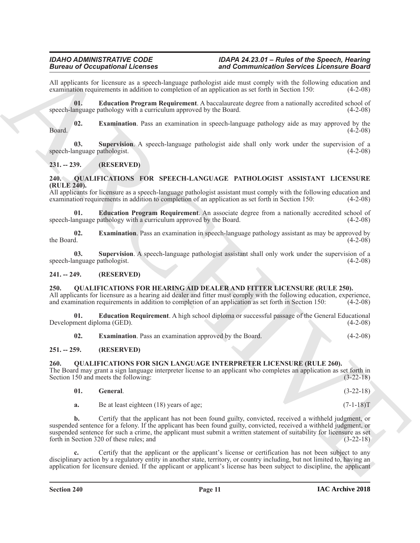All applicants for licensure as a speech-language pathologist aide must comply with the following education and examination requirements in addition to completion of an application as set forth in Section 150: (4-2-08) examination requirements in addition to completion of an application as set forth in Section 150:

<span id="page-10-10"></span>**01. Education Program Requirement**. A baccalaureate degree from a nationally accredited school of speech-language pathology with a curriculum approved by the Board. (4-2-08)

<span id="page-10-11"></span>**02. Examination**. Pass an examination in speech-language pathology aide as may approved by the  $(4-2-08)$  $\beta$ Board. (4-2-08)

<span id="page-10-12"></span>**03. Supervision**. A speech-language pathologist aide shall only work under the supervision of a speech-language pathologist. (4-2-08)

### <span id="page-10-0"></span>**231. -- 239. (RESERVED)**

#### <span id="page-10-13"></span><span id="page-10-1"></span>**240. QUALIFICATIONS FOR SPEECH-LANGUAGE PATHOLOGIST ASSISTANT LICENSURE (RULE 240).**

All applicants for licensure as a speech-language pathologist assistant must comply with the following education and examination requirements in addition to completion of an application as set forth in Section 150: (4-2-08)

<span id="page-10-14"></span>**01. Education Program Requirement**. An associate degree from a nationally accredited school of speech-language pathology with a curriculum approved by the Board. (4-2-08)

<span id="page-10-15"></span>**02. Examination**. Pass an examination in speech-language pathology assistant as may be approved by the Board.  $(4-2-08)$ 

<span id="page-10-16"></span>**03. Supervision**. A speech-language pathologist assistant shall only work under the supervision of a speech-language pathologist. (4-2-08)

#### <span id="page-10-2"></span>**241. -- 249. (RESERVED)**

#### <span id="page-10-6"></span><span id="page-10-3"></span>**250. QUALIFICATIONS FOR HEARING AID DEALER AND FITTER LICENSURE (RULE 250).**

All applicants for licensure as a hearing aid dealer and fitter must comply with the following education, experience, and examination requirements in addition to completion of an application as set forth in Section 150: (4-2-08)

**01. Education Requirement**. A high school diploma or successful passage of the General Educational Development diploma (GED). (4-2-08)

<span id="page-10-7"></span>**02. Examination**. Pass an examination approved by the Board. (4-2-08)

### <span id="page-10-4"></span>**251. -- 259. (RESERVED)**

#### <span id="page-10-8"></span><span id="page-10-5"></span>**260. QUALIFICATIONS FOR SIGN LANGUAGE INTERPRETER LICENSURE (RULE 260).**

The Board may grant a sign language interpreter license to an applicant who completes an application as set forth in Section 150 and meets the following: (3-22-18) Section 150 and meets the following:

<span id="page-10-9"></span>

| General.                                | $(3-22-18)$ |
|-----------------------------------------|-------------|
| Be at least eighteen (18) years of age; | $(7-1-18)T$ |

**EVALUATION**<br> **EVALUATION** INTERFERING TRANSPORTED TO A CONSULTION CONTINUES IN CONSULTION CONTINUES IN the state of the state of the state of the state of the state of the state of the state of the state of the state of **b.** Certify that the applicant has not been found guilty, convicted, received a withheld judgment, or suspended sentence for a felony. If the applicant has been found guilty, convicted, received a withheld judgment, or suspended sentence for such a crime, the applicant must submit a written statement of suitability for licensure as set forth in Section 320 of these rules; and (3-22-18)

**c.** Certify that the applicant or the applicant's license or certification has not been subject to any disciplinary action by a regulatory entity in another state, territory, or country including, but not limited to, having an application for licensure denied. If the applicant or applicant's license has been subject to discipline, the applicant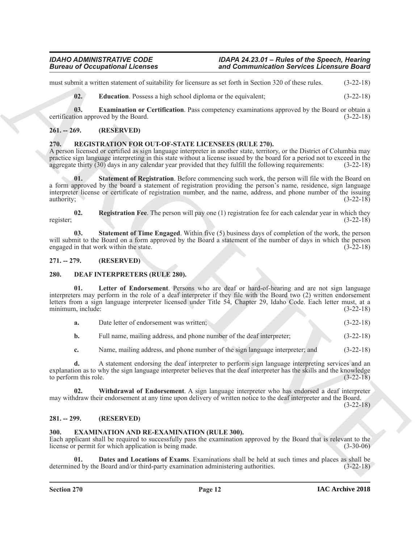must submit a written statement of suitability for licensure as set forth in Section 320 of these rules. (3-22-18)

<span id="page-11-15"></span><span id="page-11-14"></span>**02. Education**. Possess a high school diploma or the equivalent; (3-22-18)

**03. Examination or Certification**. Pass competency examinations approved by the Board or obtain a certification approved by the Board. (3-22-18)

### <span id="page-11-0"></span>**261. -- 269. (RESERVED)**

### <span id="page-11-16"></span><span id="page-11-1"></span>**270. REGISTRATION FOR OUT-OF-STATE LICENSEES (RULE 270).**

<span id="page-11-12"></span>A person licensed or certified as sign language interpreter in another state, territory, or the District of Columbia may practice sign language interpreting in this state without a license issued by the board for a period not to exceed in the aggregate thirty (30) days in any calendar vear provided that they fulfill the following requirement aggregate thirty  $(30)$  days in any calendar year provided that they fulfill the following requirements:

**Entropy of Decemberian States and Commutinesian States Licensine Books<br>
2001** and the states and the states and the state state in the state of the state of the state of the state<br>
2014 **6. Consistent of exciting the s 01.** Statement of Registration. Before commencing such work, the person will file with the Board on a form approved by the board a statement of registration providing the person's name, residence, sign language interpreter license or certificate of registration number, and the name, address, and phone number of the issuing authority;  $(3-22-18)$ 

<span id="page-11-11"></span>**02. Registration Fee**. The person will pay one (1) registration fee for each calendar year in which they register; (3-22-18)

<span id="page-11-13"></span>**03. Statement of Time Engaged**. Within five (5) business days of completion of the work, the person will submit to the Board on a form approved by the Board a statement of the number of days in which the person engaged in that work within the state. (3-22-18)

<span id="page-11-2"></span>**271. -- 279. (RESERVED)**

#### <span id="page-11-6"></span><span id="page-11-3"></span>**280. DEAF INTERPRETERS (RULE 280).**

Letter of Endorsement. Persons who are deaf or hard-of-hearing and are not sign language interpreters may perform in the role of a deaf interpreter if they file with the Board two (2) written endorsement letters from a sign language interpreter licensed under Title 54, Chapter 29, Idaho Code. Each letter must, at a minimum, include: (3-22-18)

<span id="page-11-7"></span>

| a. | Date letter of endorsement was written: |  |  |  |  | $(3-22-18)$ |
|----|-----------------------------------------|--|--|--|--|-------------|
|----|-----------------------------------------|--|--|--|--|-------------|

**b.** Full name, mailing address, and phone number of the deaf interpreter; (3-22-18)

<span id="page-11-8"></span>**c.** Name, mailing address, and phone number of the sign language interpreter; and  $(3-22-18)$ 

**d.** A statement endorsing the deaf interpreter to perform sign language interpreting services and an explanation as to why the sign language interpreter believes that the deaf interpreter has the skills and the knowledge to perform this role. (3-22-18) to perform this role.

**02. Withdrawal of Endorsement**. A sign language interpreter who has endorsed a deaf interpreter may withdraw their endorsement at any time upon delivery of written notice to the deaf interpreter and the Board.

(3-22-18)

### <span id="page-11-4"></span>**281. -- 299. (RESERVED)**

### <span id="page-11-9"></span><span id="page-11-5"></span>**300. EXAMINATION AND RE-EXAMINATION (RULE 300).**

Each applicant shall be required to successfully pass the examination approved by the Board that is relevant to the license or permit for which application is being made. (3-30-06)

<span id="page-11-10"></span>**01. Dates and Locations of Exams**. Examinations shall be held at such times and places as shall be determined by the Board and/or third-party examination administering authorities. (3-22-18)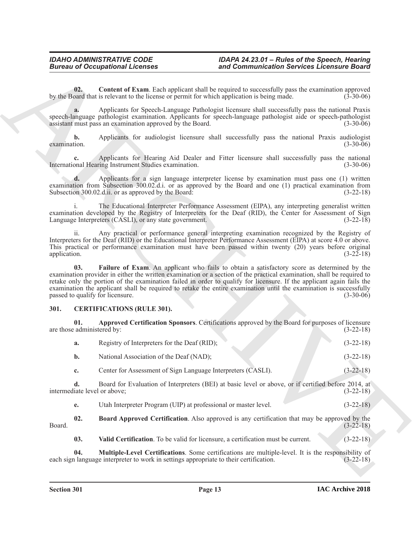<span id="page-12-6"></span>**02.** Content of Exam. Each applicant shall be required to successfully pass the examination approved by the Board that is relevant to the license or permit for which application is being made. (3-30-06)

**a.** Applicants for Speech-Language Pathologist licensure shall successfully pass the national Praxis speech-language pathologist examination. Applicants for speech-language pathologist aide or speech-pathologist assistant must pass an examination approved by the Board. (3-30-06) assistant must pass an examination approved by the Board.

**b.** Applicants for audiologist licensure shall successfully pass the national Praxis audiologist tion. (3-30-06) examination. (3-30-06)

**c.** Applicants for Hearing Aid Dealer and Fitter licensure shall successfully pass the national meaning Instrument Studies examination. (3-30-06) International Hearing Instrument Studies examination.

**d.** Applicants for a sign language interpreter license by examination must pass one (1) written examination from Subsection 300.02.d.i. or as approved by the Board and one (1) practical examination from Subsection 300.02.d.ii. or as approved by the Board: (3-22-18) Subsection 300.02.d.ii. or as approved by the Board:

i. The Educational Interpreter Performance Assessment (EIPA), any interpreting generalist written examination developed by the Registry of Interpreters for the Deaf (RID), the Center for Assessment of Sign Language Interpreters (CASLI), or any state government. (3-22-18)

<span id="page-12-7"></span>ii. Any practical or performance general interpreting examination recognized by the Registry of Interpreters for the Deaf (RID) or the Educational Interpreter Performance Assessment (EIPA) at score 4.0 or above. This practical or performance examination must have been passed within twenty (20) years before original application. (3-22-18) application.  $(3-22-18)$ 

**Eurosis of Occupational Licenses** and Commutineation Services Licenses of Services Licenses<br>
vy contained the Channel Rachim Licenses of power but specified to secure high posts continued in Figure 2.<br>
vy contained the C **03. Failure of Exam**. An applicant who fails to obtain a satisfactory score as determined by the examination provider in either the written examination or a section of the practical examination, shall be required to retake only the portion of the examination failed in order to qualify for licensure. If the applicant again fails the examination the applicant shall be required to retake the entire examination until the examination is successfully passed to qualify for licensure. (3-30-06)

### <span id="page-12-1"></span><span id="page-12-0"></span>**301. CERTIFICATIONS (RULE 301).**

**01. Approved Certification Sponsors**. Certifications approved by the Board for purposes of licensure are those administered by:

<span id="page-12-2"></span>

| <b>a.</b> | Registry of Interpreters for the Deaf (RID); | $(3-22-18)$ |
|-----------|----------------------------------------------|-------------|
|           | National Association of the Deaf (NAD);      | $(3-22-18)$ |

**c.** Center for Assessment of Sign Language Interpreters (CASLI). (3-22-18)

**d.** Board for Evaluation of Interpreters (BEI) at basic level or above, or if certified before 2014, at liate level or above; (3-22-18) intermediate level or above:

<span id="page-12-3"></span>**e.** Utah Interpreter Program (UIP) at professional or master level. (3-22-18)

**02. Board Approved Certification**. Also approved is any certification that may be approved by the (3-22-18) Board. (3-22-18)

<span id="page-12-5"></span><span id="page-12-4"></span>**03.** Valid Certification. To be valid for licensure, a certification must be current. (3-22-18)

**04.** Multiple-Level Certifications. Some certifications are multiple-level. It is the responsibility of alumguage interpreter to work in settings appropriate to their certification. (3-22-18) each sign language interpreter to work in settings appropriate to their certification.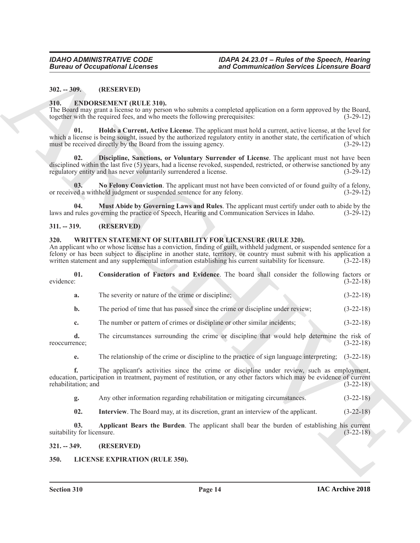#### <span id="page-13-0"></span>**302. -- 309. (RESERVED)**

#### <span id="page-13-6"></span><span id="page-13-1"></span>**310. ENDORSEMENT (RULE 310).**

<span id="page-13-8"></span>The Board may grant a license to any person who submits a completed application on a form approved by the Board, together with the required fees, and who meets the following prerequisites: (3-29-12)

**Eurosis of Occupations I.Leonards**<br>
311. **EURORE MINET INDUSALES COMMUNISTIES**<br>
311. **EURORE MINET INDUSALES COMMUNISTIES**<br>
31. **EURORE MINET INDUSALES COMMUNISTIES**<br>
31. **EURORE MINET INDUSALES COMMUNISTIES**<br>
31. **EUROR 01. Holds a Current, Active License**. The applicant must hold a current, active license, at the level for which a license is being sought, issued by the authorized regulatory entity in another state, the certification of which must be received directly by the Board from the issuing agency. (3-29-12)

<span id="page-13-7"></span>**02. Discipline, Sanctions, or Voluntary Surrender of License**. The applicant must not have been disciplined within the last five (5) years, had a license revoked, suspended, restricted, or otherwise sanctioned by any regulatory entity and has never voluntarily surrendered a license. (3-29-12)

<span id="page-13-10"></span>**03.** No Felony Conviction. The applicant must not have been convicted of or found guilty of a felony, ed a withheld judgment or suspended sentence for any felony. (3-29-12) or received a withheld judgment or suspended sentence for any felony.

<span id="page-13-9"></span>**04. Must Abide by Governing Laws and Rules**. The applicant must certify under oath to abide by the laws and rules governing the practice of Speech, Hearing and Communication Services in Idaho.

### <span id="page-13-2"></span>**311. -- 319. (RESERVED)**

#### <span id="page-13-12"></span><span id="page-13-3"></span>**320. WRITTEN STATEMENT OF SUITABILITY FOR LICENSURE (RULE 320).**

An applicant who or whose license has a conviction, finding of guilt, withheld judgment, or suspended sentence for a felony or has been subject to discipline in another state, territory, or country must submit with his application a written statement and any supplemental information establishing his current suitability for licensure. (3written statement and any supplemental information establishing his current suitability for licensure.

|           | Consideration of Factors and Evidence. The board shall consider the following factors or |  |  |  |  |             |
|-----------|------------------------------------------------------------------------------------------|--|--|--|--|-------------|
| evidence: |                                                                                          |  |  |  |  | $(3-22-18)$ |

- <span id="page-13-14"></span>**a.** The severity or nature of the crime or discipline; (3-22-18)
- **b.** The period of time that has passed since the crime or discipline under review; (3-22-18)
- **c.** The number or pattern of crimes or discipline or other similar incidents;  $(3-22-18)$
- **d.** The circumstances surrounding the crime or discipline that would help determine the risk of reoccurrence; (3-22-18)
	- **e.** The relationship of the crime or discipline to the practice of sign language interpreting;  $(3-22-18)$

**f.** The applicant's activities since the crime or discipline under review, such as employment, education, participation in treatment, payment of restitution, or any other factors which may be evidence of current rehabilitation; and (3-22-18)

- **g.** Any other information regarding rehabilitation or mitigating circumstances. (3-22-18)
- <span id="page-13-15"></span><span id="page-13-13"></span>**02.** Interview. The Board may, at its discretion, grant an interview of the applicant. (3-22-18)

**03. Applicant Bears the Burden**. The applicant shall bear the burden of establishing his current suitability for licensure. (3-22-18)

#### <span id="page-13-4"></span>**321. -- 349. (RESERVED)**

### <span id="page-13-11"></span><span id="page-13-5"></span>**350. LICENSE EXPIRATION (RULE 350).**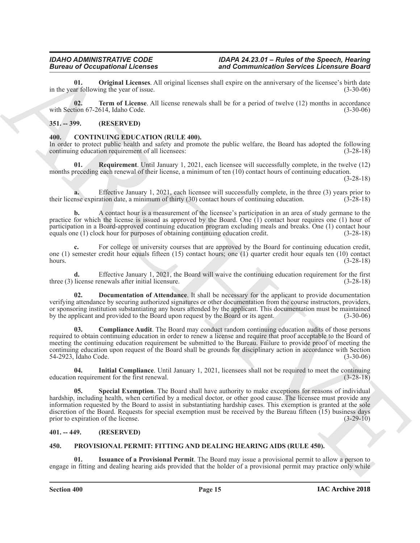<span id="page-14-10"></span>**01. Original Licenses**. All original licenses shall expire on the anniversary of the licensee's birth date ar following the year of issue. (3-30-06) in the year following the year of issue.

<span id="page-14-11"></span>**02. Term of License**. All license renewals shall be for a period of twelve (12) months in accordance with Section 67-2614, Idaho Code. (3-30-06)

#### <span id="page-14-0"></span>**351. -- 399. (RESERVED)**

#### <span id="page-14-4"></span><span id="page-14-1"></span>**400. CONTINUING EDUCATION (RULE 400).**

In order to protect public health and safety and promote the public welfare, the Board has adopted the following continuing education requirement of all licensees: (3-28-18) continuing education requirement of all licensees:

<span id="page-14-8"></span>**01. Requirement**. Until January 1, 2021, each licensee will successfully complete, in the twelve (12) months preceding each renewal of their license, a minimum of ten (10) contact hours of continuing education.

(3-28-18)

**a.** Effective January 1, 2021, each licensee will successfully complete, in the three (3) years prior to their license expiration date, a minimum of thirty (30) contact hours of continuing education. (3-28-18)

**b.** A contact hour is a measurement of the licensee's participation in an area of study germane to the practice for which the license is issued as approved by the Board. One (1) contact hour requires one (1) hour of participation in a Board-approved continuing education program excluding meals and breaks. One (1) contact hour<br>equals one (1) clock hour for purposes of obtaining continuing education credit. (3-28-18) equals one (1) clock hour for purposes of obtaining continuing education credit.

For college or university courses that are approved by the Board for continuing education credit, one (1) semester credit hour equals fifteen (15) contact hours; one (1) quarter credit hour equals ten (10) contact hours. (3-28-18)

**d.** Effective January 1, 2021, the Board will waive the continuing education requirement for the first three (3) license renewals after initial licensure. (3-28-18)

<span id="page-14-6"></span>**02. Documentation of Attendance**. It shall be necessary for the applicant to provide documentation verifying attendance by securing authorized signatures or other documentation from the course instructors, providers, or sponsoring institution substantiating any hours attended by the applicant. This documentation must be maintained<br>by the applicant and provided to the Board upon request by the Board or its agent. (3-30-06) by the applicant and provided to the Board upon request by the Board or its agent.

<span id="page-14-5"></span>**03. Compliance Audit**. The Board may conduct random continuing education audits of those persons required to obtain continuing education in order to renew a license and require that proof acceptable to the Board of meeting the continuing education requirement be submitted to the Bureau. Failure to provide proof of meeting the continuing education upon request of the Board shall be grounds for disciplinary action in accordance with Section 54-2923, Idaho Code. (3-30-06)

<span id="page-14-9"></span><span id="page-14-7"></span>**04.** Initial Compliance. Until January 1, 2021, licensees shall not be required to meet the continuing nequirement for the first renewal.  $(3-28-18)$ education requirement for the first renewal.

Bureau of Occupation Lifecons and the same state and continues and the same state is the same of the same of the same of the same of the same of the same of the same of the same of the same of the same of the same of the **05. Special Exemption**. The Board shall have authority to make exceptions for reasons of individual hardship, including health, when certified by a medical doctor, or other good cause. The licensee must provide any information requested by the Board to assist in substantiating hardship cases. This exemption is granted at the sole discretion of the Board. Requests for special exemption must be received by the Bureau fifteen  $(15)$  business days prior to expiration of the license. (3-29-10) prior to expiration of the license.

### <span id="page-14-2"></span>**401. -- 449. (RESERVED)**

#### <span id="page-14-12"></span><span id="page-14-3"></span>**450. PROVISIONAL PERMIT: FITTING AND DEALING HEARING AIDS (RULE 450).**

<span id="page-14-13"></span>**01. Issuance of a Provisional Permit**. The Board may issue a provisional permit to allow a person to engage in fitting and dealing hearing aids provided that the holder of a provisional permit may practice only while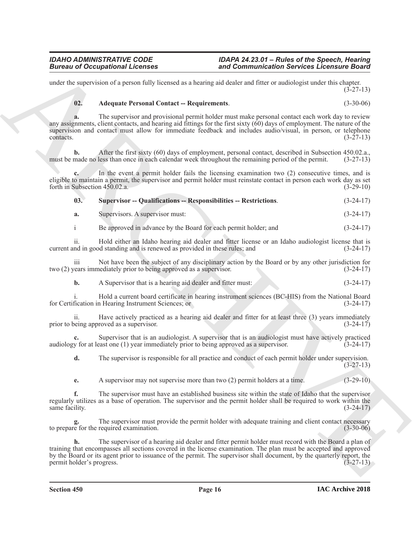under the supervision of a person fully licensed as a hearing aid dealer and fitter or audiologist under this chapter.  $(3-27-13)$ 

# <span id="page-15-0"></span>**02. Adequate Personal Contact -- Requirements**. (3-30-06)

**Eurosis of Occupations I. Formings** and Commutive also showed a commutive also showed the state of the state of the state of the state of the state of the state of the state of the state of the state of the state of the **a.** The supervisor and provisional permit holder must make personal contact each work day to review any assignments, client contacts, and hearing aid fittings for the first sixty (60) days of employment. The nature of the supervision and contact must allow for immediate feedback and includes audio/visual, in person, or telephone  $\frac{1}{3}$  contacts. (3-27-13)

**b.** After the first sixty (60) days of employment, personal contact, described in Subsection 450.02.a., must be made no less than once in each calendar week throughout the remaining period of the permit. (3-27-13)

**c.** In the event a permit holder fails the licensing examination two (2) consecutive times, and is eligible to maintain a permit, the supervisor and permit holder must reinstate contact in person each work day as set forth in Subsection 450.02.a. (3-29-10)

<span id="page-15-1"></span>

| 03. | <b>Supervisor -- Qualifications -- Responsibilities -- Restrictions.</b> | $(3-24-17)$ |
|-----|--------------------------------------------------------------------------|-------------|
|-----|--------------------------------------------------------------------------|-------------|

**a.** Supervisors. A supervisor must: (3-24-17)

i Be approved in advance by the Board for each permit holder; and (3-24-17)

ii. Hold either an Idaho hearing aid dealer and fitter license or an Idaho audiologist license that is current and in good standing and is renewed as provided in these rules; and (3-24-17)

iii Not have been the subject of any disciplinary action by the Board or by any other jurisdiction for two (2) years immediately prior to being approved as a supervisor. (3-24-17)

**b.** A Supervisor that is a hearing aid dealer and fitter must: (3-24-17)

i. Hold a current board certificate in hearing instrument sciences (BC-HIS) from the National Board for Certification in Hearing Instrument Sciences; or (3-24-17)

ii. Have actively practiced as a hearing aid dealer and fitter for at least three (3) years immediately prior to being approved as a supervisor. (3-24-17)

**c.** Supervisor that is an audiologist. A supervisor that is an audiologist must have actively practiced v for at least one (1) year immediately prior to being approved as a supervisor.  $(3-24-17)$ audiology for at least one  $(1)$  year immediately prior to being approved as a supervisor.

**d.** The supervisor is responsible for all practice and conduct of each permit holder under supervision. (3-27-13)

**e.** A supervisor may not supervise more than two (2) permit holders at a time. (3-29-10)

**f.** The supervisor must have an established business site within the state of Idaho that the supervisor regularly utilizes as a base of operation. The supervisor and the permit holder shall be required to work within the same facility.

**g.** The supervisor must provide the permit holder with adequate training and client contact necessary to prepare for the required examination. (3-30-06)

**h.** The supervisor of a hearing aid dealer and fitter permit holder must record with the Board a plan of training that encompasses all sections covered in the license examination. The plan must be accepted and approved by the Board or its agent prior to issuance of the permit. The supervisor shall document, by the quarterly report, the permit holder's progress. (3-27-13)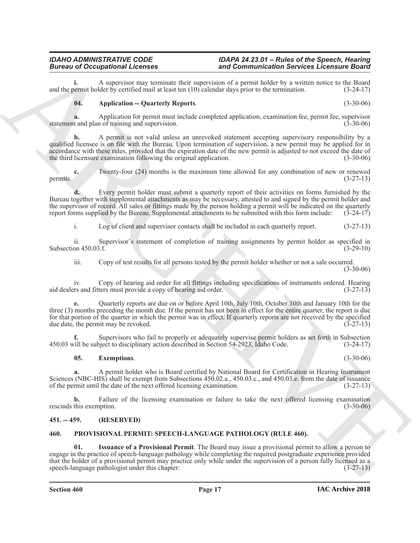**i.** A supervisor may terminate their supervision of a permit holder by a written notice to the Board bermit holder by certified mail at least ten (10) calendar days prior to the termination. (3-24-17) and the permit holder by certified mail at least ten  $(10)$  calendar days prior to the termination.

#### <span id="page-16-2"></span>**04. Application -- Quarterly Reports**. (3-30-06)

**a.** Application for permit must include completed application, examination fee, permit fee, supervisor t and plan of training and supervision. statement and plan of training and supervision.

**Example 20** Contrast the term is the **Example 20** Commuterization denotes the section of the section of the section of the section of the section of the section of the section of the section of the section of the section **b.** A permit is not valid unless an unrevoked statement accepting supervisory responsibility by a qualified licensee is on file with the Bureau. Upon termination of supervision, a new permit may be applied for in accordance with these rules, provided that the expiration date of the new permit is adjusted to not exceed the date of the third licensure examination following the original application. (3-30-06)

**c.** Twenty-four (24) months is the maximum time allowed for any combination of new or renewed permits.  $(3-27-13)$ 

**d.** Every permit holder must submit a quarterly report of their activities on forms furnished by the Bureau together with supplemental attachments as may be necessary, attested to and signed by the permit holder and the supervisor of record. All sales or fittings made by the person holding a permit will be indicated on the quarterly report forms supplied by the Bureau. Supplemental attachments to be submitted with this form include: ( report forms supplied by the Bureau. Supplemental attachments to be submitted with this form include:

i. Log of client and supervisor contacts shall be included in each quarterly report. (3-27-13)

ii. Supervisor's statement of completion of training assignments by permit holder as specified in Subsection 450.03.f. (3-29-10)

iii. Copy of test results for all persons tested by the permit holder whether or not a sale occurred.

 $(3-30-06)$ 

iv. Copy of hearing aid order for all fittings including specifications of instruments ordered. Hearing<br>rs and fitters must provide a copy of hearing aid order. (3-27-13) aid dealers and fitters must provide a copy of hearing aid order.

**e.** Quarterly reports are due on or before April 10th, July 10th, October 10th and January 10th for the three (3) months preceding the month due. If the permit has not been in effect for the entire quarter, the report is due for that portion of the quarter in which the permit was in effect. If quarterly reports are not received by the specified due date, the permit may be revoked.  $(3-27-13)$ due date, the permit may be revoked.

**f.** Supervisors who fail to properly or adequately supervise permit holders as set forth in Subsection vill be subject to disciplinary action described in Section 54-2923, Idaho Code. (3-24-17) 450.03 will be subject to disciplinary action described in Section 54-2923, Idaho Code.

### <span id="page-16-3"></span>**05. Exemptions**. (3-30-06)

**a.** A permit holder who is Board certified by National Board for Certification in Hearing Instrument Sciences (NBC-HIS) shall be exempt from Subsections 450.02.a., 450.03.c., and 450.03.e. from the date of issuance of the permit until the date of the next offered licensing examination. (3-27-13)

**b.** Failure of the licensing examination or failure to take the next offered licensing examination this exemption. (3-30-06) rescinds this exemption.

### <span id="page-16-0"></span>**451. -- 459. (RESERVED)**

#### <span id="page-16-4"></span><span id="page-16-1"></span>**460. PROVISIONAL PERMIT: SPEECH-LANGUAGE PATHOLOGY (RULE 460).**

<span id="page-16-5"></span>**01. Issuance of a Provisional Permit**. The Board may issue a provisional permit to allow a person to engage in the practice of speech-language pathology while completing the required postgraduate experience provided that the holder of a provisional permit may practice only while under the supervision of a person fully licensed as a speech-language pathologist under this chapter: (3-27-13)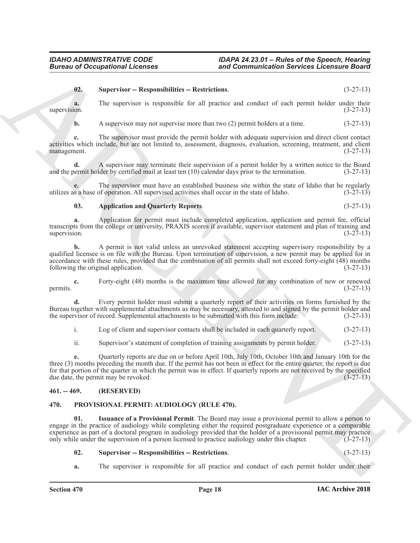#### <span id="page-17-6"></span>**02. Supervisor -- Responsibilities -- Restrictions**. (3-27-13)

**a.** The supervisor is responsible for all practice and conduct of each permit holder under their supervision.  $(3-27-13)$ 

**b.** A supervisor may not supervise more than two (2) permit holders at a time.  $(3-27-13)$ 

**c.** The supervisor must provide the permit holder with adequate supervision and direct client contact activities which include, but are not limited to, assessment, diagnosis, evaluation, screening, treatment, and client management. (3-27-13)

**d.** A supervisor may terminate their supervision of a permit holder by a written notice to the Board and the permit holder by certified mail at least ten (10) calendar days prior to the termination. (3-27-13)

**e.** The supervisor must have an established business site within the state of Idaho that he regularly s a base of operation. All supervised activities shall occur in the state of Idaho.  $(3-27-13)$ utilizes as a base of operation. All supervised activities shall occur in the state of Idaho.

#### <span id="page-17-5"></span>**03. Application and Quarterly Reports**. (3-27-13)

**a.** Application for permit must include completed application, application and permit fee, official transcripts from the college or university, PRAXIS scores if available, supervisor statement and plan of training and supervision. (3-27-13) supervision.  $(3-27-13)$ 

Given to Occupational Licensies<br>
We consider the supervisor and Communication Services Licensies Gase<br>
(Consider the supervisor and supervisor and vectors of a statistical point of the supervisor and the supervisor and th **b.** A permit is not valid unless an unrevoked statement accepting supervisory responsibility by a qualified licensee is on file with the Bureau. Upon termination of supervision, a new permit may be applied for in accordance with these rules, provided that the combination of all permits shall not exceed forty-eight  $(48)$  months following the original application.  $(3-27-13)$ following the original application.

**c.** Forty-eight (48) months is the maximum time allowed for any combination of new or renewed (3-27-13) permits.  $(3-27-13)$ 

**d.** Every permit holder must submit a quarterly report of their activities on forms furnished by the Bureau together with supplemental attachments as may be necessary, attested to and signed by the permit holder and the supervisor of record. Supplemental attachments to be submitted with this form include:  $(3-27-13)$ the supervisor of record. Supplemental attachments to be submitted with this form include:

i. Log of client and supervisor contacts shall be included in each quarterly report. (3-27-13)

ii. Supervisor's statement of completion of training assignments by permit holder. (3-27-13)

**e.** Quarterly reports are due on or before April 10th, July 10th, October 10th and January 10th for the three (3) months preceding the month due. If the permit has not been in effect for the entire quarter, the report is due for that portion of the quarter in which the permit was in effect. If quarterly reports are not received by the specified due date, the permit may be revoked. (3-27-13) due date, the permit may be revoked.

#### <span id="page-17-0"></span>**461. -- 469. (RESERVED)**

#### <span id="page-17-2"></span><span id="page-17-1"></span>**470. PROVISIONAL PERMIT: AUDIOLOGY (RULE 470).**

<span id="page-17-3"></span>**01. Issuance of a Provisional Permit**. The Board may issue a provisional permit to allow a person to engage in the practice of audiology while completing either the required postgraduate experience or a comparable experience as part of a doctoral program in audiology provided that the holder of a provisional permit may practice only while under the supervision of a person licensed to practice audiology under this chapter. (3-27-13)

#### <span id="page-17-4"></span>**02. Supervisor -- Responsibilities -- Restrictions**. (3-27-13)

**a.** The supervisor is responsible for all practice and conduct of each permit holder under their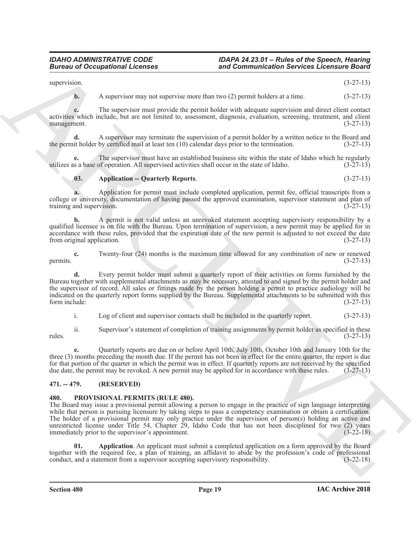supervision. (3-27-13)

**b.** A supervisor may not supervise more than two (2) permit holders at a time.  $(3-27-13)$ 

**c.** The supervisor must provide the permit holder with adequate supervision and direct client contact activities which include, but are not limited to, assessment, diagnosis, evaluation, screening, treatment, and client management. (3-27-13) management.

**d.** A supervisor may terminate the supervision of a permit holder by a written notice to the Board and the permit holder by certified mail at least ten (10) calendar days prior to the termination. (3-27-13)

**e.** The supervisor must have an established business site within the state of Idaho which he regularly s a base of operation. All supervised activities shall occur in the state of Idaho.  $(3-27-13)$ utilizes as a base of operation. All supervised activities shall occur in the state of Idaho.

### <span id="page-18-2"></span>**03.** Application -- Quarterly Reports. (3-27-13)

**a.** Application for permit must include completed application, permit fee, official transcripts from a college or university, documentation of having passed the approved examination, supervisor statement and plan of training and supervision. (3-27-13)

**b.** A permit is not valid unless an unrevoked statement accepting supervisory responsibility by a qualified licensee is on file with the Bureau. Upon termination of supervision, a new permit may be applied for in accordance with these rules, provided that the expiration date of the new permit is adjusted to not exceed the date from original application. (3-27-13)

**c.** Twenty-four (24) months is the maximum time allowed for any combination of new or renewed (3-27-13) permits.  $(3-27-13)$ 

Bureau of Occupational Licensies<br>
said Commutation Services Licensies (and  $\sim$  100 m) and Commutation Services Licensies (b)  $(1, 27; 14)$ <br>
says and the same propose the same propose to the same but the same same propose **d.** Every permit holder must submit a quarterly report of their activities on forms furnished by the Bureau together with supplemental attachments as may be necessary, attested to and signed by the permit holder and the supervisor of record. All sales or fittings made by the person holding a permit to practice audiology will be indicated on the quarterly report forms supplied by the Bureau. Supplemental attachments to be submitted with this form include: (3-27-13)

i. Log of client and supervisor contacts shall be included in the quarterly report. (3-27-13)

ii. Supervisor's statement of completion of training assignments by permit holder as specified in these rules. (3-27-13)

**e.** Quarterly reports are due on or before April 10th, July 10th, October 10th and January 10th for the three (3) months preceding the month due. If the permit has not been in effect for the entire quarter, the report is due for that portion of the quarter in which the permit was in effect. If quarterly reports are not received by the specified due date, the permit may be revoked. A new permit may be applied for in accordance with these rules. due date, the permit may be revoked. A new permit may be applied for in accordance with these rules.

### <span id="page-18-0"></span>**471. -- 479. (RESERVED)**

### <span id="page-18-3"></span><span id="page-18-1"></span>**480. PROVISIONAL PERMITS (RULE 480).**

The Board may issue a provisional permit allowing a person to engage in the practice of sign language interpreting while that person is pursuing licensure by taking steps to pass a competency examination or obtain a certification. The holder of a provisional permit may only practice under the supervision of person(s) holding an active and unrestricted license under Title 54, Chapter 29, Idaho Code that has not been disciplined for two (2) years immediately prior to the supervisor's appointment. (3-22-18) immediately prior to the supervisor's appointment.

<span id="page-18-4"></span>**01. Application**. An applicant must submit a completed application on a form approved by the Board together with the required fee, a plan of training, an affidavit to abide by the profession's code of professional conduct, and a statement from a supervisor accepting supervisory responsibility. (3-22-18)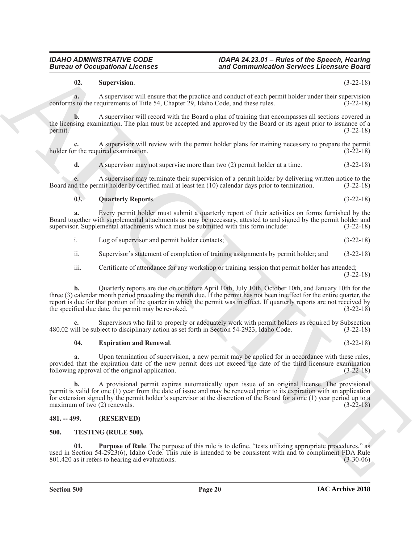used in Section 54-2923(6), Idaho Code. This rule is intended to be consistent with and to compliment FDA Rule 801.420 as it refers to hearing aid evaluations. (3-30-06)

### **IAC Archive 2018**

# <span id="page-19-1"></span><span id="page-19-0"></span>**481. -- 499. (RESERVED) 500. TESTING (RULE 500).**

following approval of the original application. (3-22-18)

provided that the expiration date of the new permit does not exceed the date of the third licensure examination

**a.** Upon termination of supervision, a new permit may be applied for in accordance with these rules,

<span id="page-19-6"></span><span id="page-19-5"></span>**01. Purpose of Rule**. The purpose of this rule is to define, "tests utilizing appropriate procedures," as

**b.** A provisional permit expires automatically upon issue of an original license. The provisional permit is valid for one (1) year from the date of issue and may be renewed prior to its expiration with an application for extension signed by the permit holder's supervisor at the discretion of the Board for a one (1) year period up to a maximum of two (2) renewals.  $(3-22-18)$ 

the specified due date, the permit may be revoked. (3-22-18)

supervisor. Supplemental attachments which must be submitted with this form include:

i. Log of supervisor and permit holder contacts; (3-22-18) ii. Supervisor's statement of completion of training assignments by permit holder; and (3-22-18)

(3-22-18) **b.** Quarterly reports are due on or before April 10th, July 10th, October 10th, and January 10th for the

iii. Certificate of attendance for any workshop or training session that permit holder has attended;

**Example 20** Conception of Lebensitz<br>
20 Commutive and Commutive and permission Service and permission Conception 20 C22-181<br>
20 Commutive and the service and the service and the service and permission control of the serv

three (3) calendar month period preceding the month due. If the permit has not been in effect for the entire quarter, the report is due for that portion of the quarter in which the permit was in effect. If quarterly reports are not received by

**c.** Supervisors who fail to properly or adequately work with permit holders as required by Subsection 480.02 will be subject to disciplinary action as set forth in Section 54-2923, Idaho Code. (3-22-18)

# <span id="page-19-2"></span>**04. Expiration and Renewal**. (3-22-18)

**Section 500 Page 20**

Board together with supplemental attachments as may be necessary, attested to and signed by the permit holder and supervisor. Supplemental attachments which must be submitted with this form include: (3-22-18)

# <span id="page-19-4"></span>**02. Supervision**. (3-22-18)

holder for the required examination.

*IDAHO ADMINISTRATIVE CODE IDAPA 24.23.01 – Rules of the Speech, Hearing Bureau of Occupational Licenses and Communication Services Licensure Board*

conforms to the requirements of Title 54, Chapter 29, Idaho Code, and these rules. (3-22-18)

the licensing examination. The plan must be accepted and approved by the Board or its agent prior to issuance of a permit. (3-22-18)

Board and the permit holder by certified mail at least ten (10) calendar days prior to termination. (3-22-18)

**a.** A supervisor will ensure that the practice and conduct of each permit holder under their supervision

**b.** A supervisor will record with the Board a plan of training that encompasses all sections covered in

**d.** A supervisor may not supervise more than two (2) permit holder at a time.  $(3-22-18)$ 

**e.** A supervisor may terminate their supervision of a permit holder by delivering written notice to the

<span id="page-19-3"></span>**03. Quarterly Reports**. (3-22-18)

**a.** Every permit holder must submit a quarterly report of their activities on forms furnished by the

**c.** A supervisor will review with the permit holder plans for training necessary to prepare the permit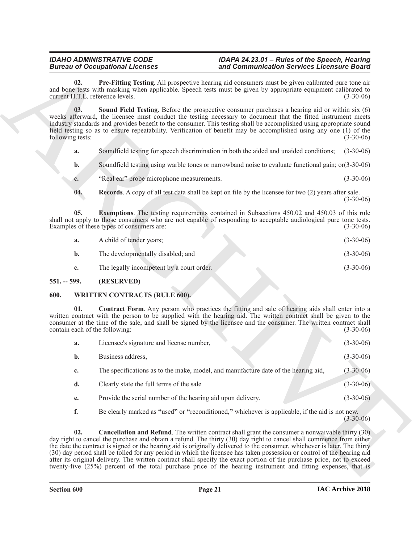- <span id="page-20-5"></span><span id="page-20-3"></span>**a.** Soundfield testing for speech discrimination in both the aided and unaided conditions; (3-30-06)
- **b.** Soundfield testing using warble tones or narrowband noise to evaluate functional gain; or(3-30-06)
- <span id="page-20-4"></span>**c.** "Real ear" probe microphone measurements. (3-30-06)
- <span id="page-20-2"></span>**04. Records**. A copy of all test data shall be kept on file by the licensee for two (2) years after sale. (3-30-06)

| A child of tender years;          | $(3-30-06)$ |
|-----------------------------------|-------------|
| The developmentally disabled; and | $(3-30-06)$ |

### <span id="page-20-0"></span>**551. -- 599. (RESERVED)**

#### <span id="page-20-8"></span><span id="page-20-7"></span><span id="page-20-6"></span><span id="page-20-1"></span>**600. WRITTEN CONTRACTS (RULE 600).**

| <b>Bureau of Occupational Licenses</b>  |                                                             | and Communication Services Licensure Board                                                                                                                                                                                                                                                                                                                                                                                                                                                                                                                                                                                                                                                                                             |                 |  |  |
|-----------------------------------------|-------------------------------------------------------------|----------------------------------------------------------------------------------------------------------------------------------------------------------------------------------------------------------------------------------------------------------------------------------------------------------------------------------------------------------------------------------------------------------------------------------------------------------------------------------------------------------------------------------------------------------------------------------------------------------------------------------------------------------------------------------------------------------------------------------------|-----------------|--|--|
| 02.<br>current H.T.L. reference levels. |                                                             | Pre-Fitting Testing. All prospective hearing aid consumers must be given calibrated pure tone air<br>and bone tests with masking when applicable. Speech tests must be given by appropriate equipment calibrated to                                                                                                                                                                                                                                                                                                                                                                                                                                                                                                                    | $(3-30-06)$     |  |  |
| 03.<br>following tests:                 |                                                             | <b>Sound Field Testing.</b> Before the prospective consumer purchases a hearing aid or within six (6)<br>weeks afterward, the licensee must conduct the testing necessary to document that the fitted instrument meets<br>industry standards and provides benefit to the consumer. This testing shall be accomplished using appropriate sound<br>field testing so as to ensure repeatability. Verification of benefit may be accomplished using any one (1) of the                                                                                                                                                                                                                                                                     | $(3-30-06)$     |  |  |
| a.                                      |                                                             | Soundfield testing for speech discrimination in both the aided and unaided conditions;                                                                                                                                                                                                                                                                                                                                                                                                                                                                                                                                                                                                                                                 | $(3-30-06)$     |  |  |
| b.                                      |                                                             | Soundfield testing using warble tones or narrowband noise to evaluate functional gain; or (3-30-06)                                                                                                                                                                                                                                                                                                                                                                                                                                                                                                                                                                                                                                    |                 |  |  |
| c.                                      | "Real ear" probe microphone measurements.                   |                                                                                                                                                                                                                                                                                                                                                                                                                                                                                                                                                                                                                                                                                                                                        | $(3-30-06)$     |  |  |
| 04.                                     |                                                             | <b>Records.</b> A copy of all test data shall be kept on file by the licensee for two (2) years after sale.                                                                                                                                                                                                                                                                                                                                                                                                                                                                                                                                                                                                                            | $(3-30-06)$     |  |  |
| 05.                                     | Examples of these types of consumers are:                   | <b>Exemptions</b> . The testing requirements contained in Subsections 450.02 and 450.03 of this rule<br>shall not apply to those consumers who are not capable of responding to acceptable audiological pure tone tests.                                                                                                                                                                                                                                                                                                                                                                                                                                                                                                               | $(3-30-06)$     |  |  |
| a.                                      | A child of tender years;                                    |                                                                                                                                                                                                                                                                                                                                                                                                                                                                                                                                                                                                                                                                                                                                        | $(3-30-06)$     |  |  |
| $\mathbf{b}$ .                          | The developmentally disabled; and                           |                                                                                                                                                                                                                                                                                                                                                                                                                                                                                                                                                                                                                                                                                                                                        | $(3-30-06)$     |  |  |
| c.                                      | The legally incompetent by a court order.                   |                                                                                                                                                                                                                                                                                                                                                                                                                                                                                                                                                                                                                                                                                                                                        | $(3-30-06)$     |  |  |
| $551. - 599.$                           | (RESERVED)                                                  |                                                                                                                                                                                                                                                                                                                                                                                                                                                                                                                                                                                                                                                                                                                                        |                 |  |  |
| 600.                                    | <b>WRITTEN CONTRACTS (RULE 600).</b>                        |                                                                                                                                                                                                                                                                                                                                                                                                                                                                                                                                                                                                                                                                                                                                        |                 |  |  |
| 01.<br>contain each of the following:   |                                                             | <b>Contract Form.</b> Any person who practices the fitting and sale of hearing aids shall enter into a<br>written contract with the person to be supplied with the hearing aid. The written contract shall be given to the<br>consumer at the time of the sale, and shall be signed by the licensee and the consumer. The written contract shall                                                                                                                                                                                                                                                                                                                                                                                       | $(3-30-06)$     |  |  |
| a.                                      | Licensee's signature and license number,                    |                                                                                                                                                                                                                                                                                                                                                                                                                                                                                                                                                                                                                                                                                                                                        | $(3-30-06)$     |  |  |
| b.                                      | Business address,                                           |                                                                                                                                                                                                                                                                                                                                                                                                                                                                                                                                                                                                                                                                                                                                        | $(3-30-06)$     |  |  |
| c.                                      |                                                             | The specifications as to the make, model, and manufacture date of the hearing aid,                                                                                                                                                                                                                                                                                                                                                                                                                                                                                                                                                                                                                                                     | $(3 - 30 - 06)$ |  |  |
| d.                                      | Clearly state the full terms of the sale                    |                                                                                                                                                                                                                                                                                                                                                                                                                                                                                                                                                                                                                                                                                                                                        | $(3-30-06)$     |  |  |
| e.                                      | Provide the serial number of the hearing aid upon delivery. |                                                                                                                                                                                                                                                                                                                                                                                                                                                                                                                                                                                                                                                                                                                                        | $(3-30-06)$     |  |  |
| f.                                      |                                                             | Be clearly marked as "used" or "reconditioned," whichever is applicable, if the aid is not new.                                                                                                                                                                                                                                                                                                                                                                                                                                                                                                                                                                                                                                        | $(3-30-06)$     |  |  |
| 02.                                     |                                                             | <b>Cancellation and Refund</b> . The written contract shall grant the consumer a nonwaivable thirty (30)<br>day right to cancel the purchase and obtain a refund. The thirty (30) day right to cancel shall commence from either<br>the date the contract is signed or the hearing aid is originally delivered to the consumer, whichever is later. The thirty<br>(30) day period shall be tolled for any period in which the licensee has taken possession or control of the hearing aid<br>after its original delivery. The written contract shall specify the exact portion of the purchase price, not to exceed<br>twenty-five $(25%)$ percent of the total purchase price of the hearing instrument and fitting expenses, that is |                 |  |  |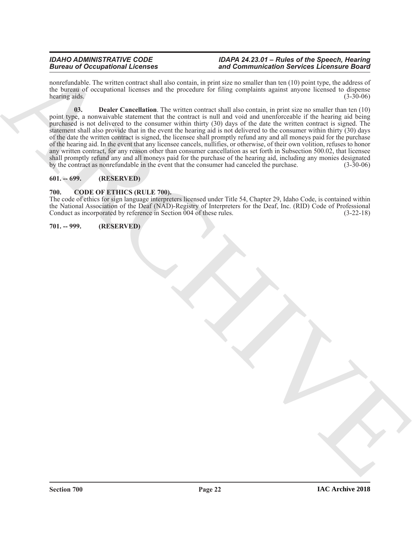<span id="page-21-4"></span>nonrefundable. The written contract shall also contain, in print size no smaller than ten (10) point type, the address of the bureau of occupational licenses and the procedure for filing complaints against anyone licensed to dispense hearing aids. (3-30-06)

Between a divergendent Licenses<br>
The computer state of the property of the property of the property of the computer spectral divergendent in the property of the computer spectral divergendent in the computer spectral dive **03. Dealer Cancellation**. The written contract shall also contain, in print size no smaller than ten (10) point type, a nonwaivable statement that the contract is null and void and unenforceable if the hearing aid being purchased is not delivered to the consumer within thirty (30) days of the date the written contract is signed. The statement shall also provide that in the event the hearing aid is not delivered to the consumer within thirty (30) days of the date the written contract is signed, the licensee shall promptly refund any and all moneys paid for the purchase of the hearing aid. In the event that any licensee cancels, nullifies, or otherwise, of their own volition, refuses to honor any written contract, for any reason other than consumer cancellation as set forth in Subsection 500.02, that licensee shall promptly refund any and all moneys paid for the purchase of the hearing aid, including any monies designated<br>by the contract as nonrefundable in the event that the consumer had canceled the purchase. (3-30-06) by the contract as nonrefundable in the event that the consumer had canceled the purchase.

### <span id="page-21-0"></span>**601. -- 699. (RESERVED)**

### <span id="page-21-3"></span><span id="page-21-1"></span>**700. CODE OF ETHICS (RULE 700).**

The code of ethics for sign language interpreters licensed under Title 54, Chapter 29, Idaho Code, is contained within the National Association of the Deaf (NAD)-Registry of Interpreters for the Deaf, Inc. (RID) Code of Professional Conduct as incorporated by reference in Section 004 of these rules. (3-22-18)

### <span id="page-21-2"></span>**701. -- 999. (RESERVED)**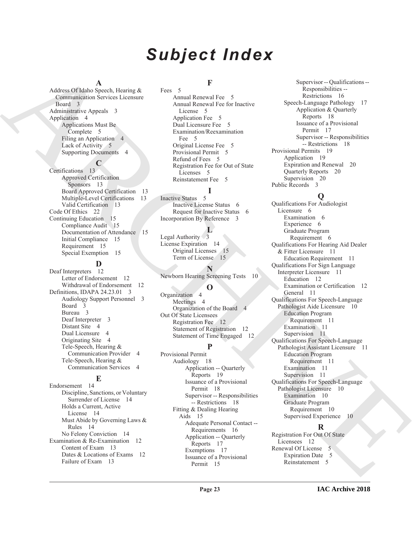# *Subject Index*

#### **A**

Address Of Idaho Speech, Hearing & Communication Services Licensure Board 3 Administrative Appeals 3 Application 4 Applications Must Be Complete 5 Filing an Application 4 Lack of Activity 5 Supporting Documents 4

# **C**

Certifications 13 Approved Certification Sponsors 13 Board Approved Certification 13 Multiple-Level Certifications 13 Valid Certification 13 Code Of Ethics 22 Continuing Education 15 Compliance Audit 15 Documentation of Attendance 15 Initial Compliance 15 Requirement 15 Special Exemption 15

# **D**

Deaf Interpreters 12 Letter of Endorsement 12 Withdrawal of Endorsement 12 Definitions, IDAPA 24.23.01 3 Audiology Support Personnel 3 Board 3 Bureau 3 Deaf Interpreter 3 Distant Site 4 Dual Licensure 4 Originating Site 4 Tele-Speech, Hearing & Communication Provider 4 Tele-Speech, Hearing & Communication Services 4

### **E**

Endorsement 14 Discipline, Sanctions, or Voluntary Surrender of License 14 Holds a Current, Active License 14 Must Abide by Governing Laws & Rules 14 No Felony Conviction 14 Examination & Re-Examination 12 Content of Exam 13 Dates & Locations of Exams 12 Failure of Exam 13

## **F**

Fees 5 Annual Renewal Fee 5 Annual Renewal Fee for Inactive License 5 Application Fee 5 Dual Licensure Fee 5 Examination/Reexamination Fee 5 Original License Fee 5 Provisional Permit 5 Refund of Fees 5 Registration Fee for Out of State Licenses 5 Reinstatement Fee 5

Inactive Status 5 Inactive License Status 6 Request for Inactive Status 6 Incorporation By Reference 3

# **L**

**I**

Legal Authority 3 License Expiration 14 Original Licenses 15 Term of License 15

**N** Newborn Hearing Screening Tests 10

### **O**

Organization 4 Meetings 4 Organization of the Board 4 Out Of State Licensees Registration Fee 12 Statement of Registration 12 Statement of Time Engaged 12

# **P**

Provisional Permit Audiology 18 Application -- Quarterly Reports 19 Issuance of a Provisional Permit 18 Supervisor -- Responsibilities -- Restrictions 18 Fitting & Dealing Hearing Aids 15 Adequate Personal Contact -- Requirements 16 Application -- Quarterly Reports 17 Exemptions 17 Issuance of a Provisional Permit 15

Supervisor -- Qualifications -- Responsibilities -- Restrictions 16 Speech-Language Pathology 17 Application & Quarterly Reports 18 Issuance of a Provisional Permit 17 Supervisor -- Responsibilities -- Restrictions 18 Provisional Permits 19 Application 19 Expiration and Renewal 20 Quarterly Reports 20 Supervision 20 Public Records 3

# **Q**

[A](#page-2-10)dison Observation from the same of the same of the same of the same of the same of the same of the same of the same of the same of the same of the same of the same of the same of the same of the same of the same of the s Qualifications For Audiologist Licensure 6 Examination 6 Experience 6 Graduate Program Requirement 6 Qualifications For Hearing Aid Dealer & Fitter Licensure 11 Education Requirement 11 Qualifications For Sign Language Interpreter Licensure 11 Education 12 Examination or Certification 12 General 11 Qualifications For Speech-Language Pathologist Aide Licensure 10 Education Program Requirement 11 Examination 11 Supervision 11 Qualifications For Speech-Language Pathologist Assistant Licensure 11 Education Program Requirement 11 Examination 11 Supervision 11 Qualifications For Speech-Language Pathologist Licensure 10 Examination 10 Graduate Program Requirement 10 Supervised Experience 10

# **R**

Registration For Out Of State Licensees 12 Renewal Of License 5 Expiration Date 5 Reinstatement 5